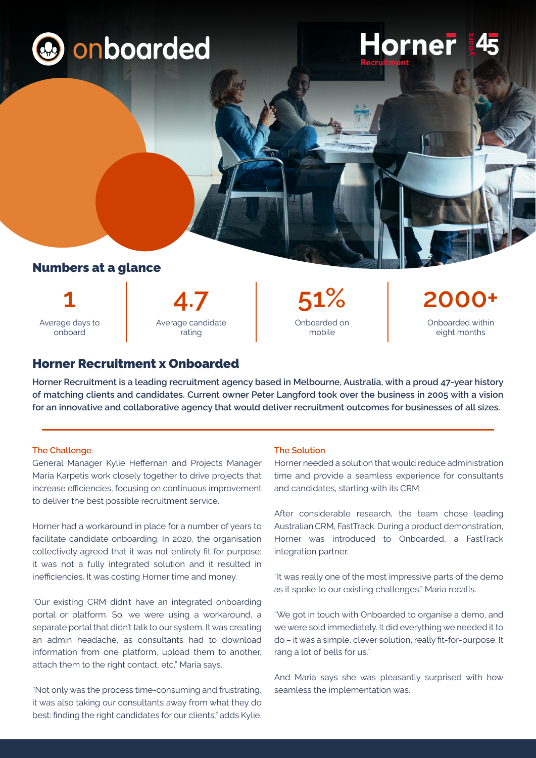

# Numbers at a glance

Average days to onboard



Onboarded on mobile

Onboarded within eight months

## Horner Recruitment x Onboarded

**Horner Recruitment is a leading recruitment agency based in Melbourne, Australia, with a proud 47-year history of matching clients and candidates. Current owner Peter Langford took over the business in 2005 with a vision for an innovative and collaborative agency that would deliver recruitment outcomes for businesses of all sizes.** 

### **The Challenge**

General Manager Kylie Heffernan and Projects Manager Maria Karpetis work closely together to drive projects that increase efficiencies, focusing on continuous improvement to deliver the best possible recruitment service.

Horner had a workaround in place for a number of years to facilitate candidate onboarding. In 2020, the organisation collectively agreed that it was not entirely fit for purpose; it was not a fully integrated solution and it resulted in inefficiencies. It was costing Horner time and money.

"Our existing CRM didn't have an integrated onboarding portal or platform. So, we were using a workaround, a separate portal that didn't talk to our system. It was creating an admin headache, as consultants had to download information from one platform, upload them to another, attach them to the right contact, etc," Maria says.

"Not only was the process time-consuming and frustrating, it was also taking our consultants away from what they do best: finding the right candidates for our clients," adds Kylie.

#### **The Solution**

Horner needed a solution that would reduce administration time and provide a seamless experience for consultants and candidates, starting with its CRM.

Horner

After considerable research, the team chose leading Australian CRM, FastTrack. During a product demonstration, Horner was introduced to Onboarded, a FastTrack integration partner.

"It was really one of the most impressive parts of the demo as it spoke to our existing challenges," Maria recalls.

"We got in touch with Onboarded to organise a demo, and we were sold immediately. It did everything we needed it to do – it was a simple, clever solution, really fit-for-purpose. It rang a lot of bells for us."

And Maria says she was pleasantly surprised with how seamless the implementation was.